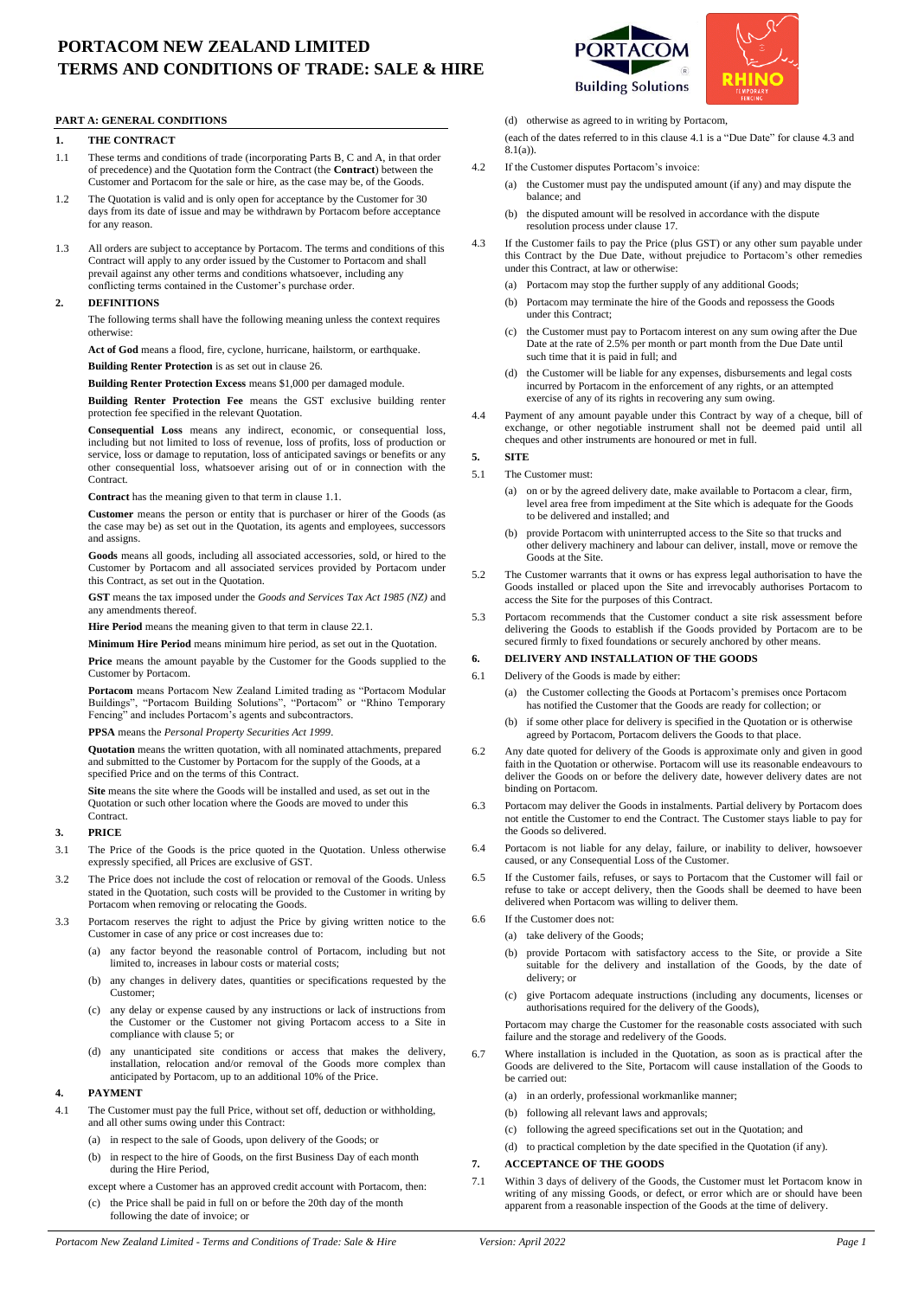# **PORTACOM NEW ZEALAND LIMITED TERMS AND CONDITIONS OF TRADE: SALE & HIRE**

# **PART A: GENERAL CONDITIONS**

# **1. THE CONTRACT**

- <span id="page-0-0"></span>1.1 These terms and conditions of trade (incorporating Parts B, C and A, in that order of precedence) and the Quotation form the Contract (the **Contract**) between the Customer and Portacom for the sale or hire, as the case may be, of the Goods.
- 1.2 The Quotation is valid and is only open for acceptance by the Customer for 30 days from its date of issue and may be withdrawn by Portacom before acceptance for any reason.
- 1.3 All orders are subject to acceptance by Portacom. The terms and conditions of this Contract will apply to any order issued by the Customer to Portacom and shall prevail against any other terms and conditions whatsoever, including any conflicting terms contained in the Customer's purchase order.

#### **2. DEFINITIONS**

The following terms shall have the following meaning unless the context requires otherwise:

**Act of God** means a flood, fire, cyclone, hurricane, hailstorm, or earthquake.

**Building Renter Protection** is as set out in clause 26.

**Building Renter Protection Excess** means \$1,000 per damaged module.

**Building Renter Protection Fee** means the GST exclusive building renter protection fee specified in the relevant Quotation.

**Consequential Loss** means any indirect, economic, or consequential loss, including but not limited to loss of revenue, loss of profits, loss of production or service, loss or damage to reputation, loss of anticipated savings or benefits or any other consequential loss, whatsoever arising out of or in connection with the Contract.

**Contract** has the meaning given to that term in claus[e 1.1.](#page-0-0)

**Customer** means the person or entity that is purchaser or hirer of the Goods (as the case may be) as set out in the Quotation, its agents and employees, successors and assigns.

**Goods** means all goods, including all associated accessories, sold, or hired to the Customer by Portacom and all associated services provided by Portacom under this Contract, as set out in the Quotation.

**GST** means the tax imposed under the *Goods and Services Tax Act 1985 (NZ)* and any amendments thereof.

Hire Period means the meaning given to that term in clause [22.1.](#page-2-0)

**Minimum Hire Period** means minimum hire period, as set out in the Quotation. **Price** means the amount payable by the Customer for the Goods supplied to the

Customer by Portacom. **Portacom** means Portacom New Zealand Limited trading as "Portacom Modular Buildings", "Portacom Building Solutions", "Portacom" or "Rhino Temporary Fencing" and includes Portacom's agents and subcontractors.

**PPSA** means the *Personal Property Securities Act 1999*.

**Quotation** means the written quotation, with all nominated attachments, prepared and submitted to the Customer by Portacom for the supply of the Goods, at a specified Price and on the terms of this Contract.

**Site** means the site where the Goods will be installed and used, as set out in the Quotation or such other location where the Goods are moved to under this Contract.

#### <span id="page-0-5"></span>**3. PRICE**

- 3.1 The Price of the Goods is the price quoted in the Quotation. Unless otherwise expressly specified, all Prices are exclusive of GST.
- 3.2 The Price does not include the cost of relocation or removal of the Goods. Unless stated in the Quotation, such costs will be provided to the Customer in writing by Portacom when removing or relocating the Goods.
- 3.3 Portacom reserves the right to adjust the Price by giving written notice to the Customer in case of any price or cost increases due to:
	- (a) any factor beyond the reasonable control of Portacom, including but not limited to, increases in labour costs or material costs;
	- (b) any changes in delivery dates, quantities or specifications requested by the Customer;
	- (c) any delay or expense caused by any instructions or lack of instructions from the Customer or the Customer not giving Portacom access to a Site in compliance with clause [5;](#page-0-1) or
	- (d) any unanticipated site conditions or access that makes the delivery, installation, relocation and/or removal of the Goods more complex than anticipated by Portacom, up to an additional 10% of the Price.

#### <span id="page-0-6"></span>**4. PAYMENT**

- <span id="page-0-2"></span>4.1 The Customer must pay the full Price, without set off, deduction or withholding, and all other sums owing under this Contract:
	- (a) in respect to the sale of Goods, upon delivery of the Goods; or
	- (b) in respect to the hire of Goods, on the first Business Day of each month during the Hire Period,
	- except where a Customer has an approved credit account with Portacom, then: (c) the Price shall be paid in full on or before the 20th day of the month following the date of invoice; or



(d) otherwise as agreed to in writing by Portacom,

(each of the dates referred to in this clause [4.1](#page-0-2) is a "Due Date" for claus[e 4.3](#page-0-3) and  $8.1(a)$ ).

- 4.2 If the Customer disputes Portacom's invoice:
	- (a) the Customer must pay the undisputed amount (if any) and may dispute the balance; and
	- (b) the disputed amount will be resolved in accordance with the dispute resolution process under claus[e 17.](#page-1-1)
- <span id="page-0-3"></span>4.3 If the Customer fails to pay the Price (plus GST) or any other sum payable under this Contract by the Due Date, without prejudice to Portacom's other remedies under this Contract, at law or otherwise:
	- (a) Portacom may stop the further supply of any additional Goods;
	- (b) Portacom may terminate the hire of the Goods and repossess the Goods under this Contract;
	- (c) the Customer must pay to Portacom interest on any sum owing after the Due Date at the rate of 2.5% per month or part month from the Due Date until such time that it is paid in full; and
	- (d) the Customer will be liable for any expenses, disbursements and legal costs incurred by Portacom in the enforcement of any rights, or an attempted exercise of any of its rights in recovering any sum owing.
- 4.4 Payment of any amount payable under this Contract by way of a cheque, bill of exchange, or other negotiable instrument shall not be deemed paid until all cheques and other instruments are honoured or met in full.

## <span id="page-0-1"></span>**5. SITE**

- 5.1 The Customer must:
	- (a) on or by the agreed delivery date, make available to Portacom a clear, firm, level area free from impediment at the Site which is adequate for the Goods to be delivered and installed; and
	- (b) provide Portacom with uninterrupted access to the Site so that trucks and other delivery machinery and labour can deliver, install, move or remove the Goods at the Site.
- 5.2 The Customer warrants that it owns or has express legal authorisation to have the Goods installed or placed upon the Site and irrevocably authorises Portacom to access the Site for the purposes of this Contract.
- 5.3 Portacom recommends that the Customer conduct a site risk assessment before delivering the Goods to establish if the Goods provided by Portacom are to be secured firmly to fixed foundations or securely anchored by other means.

# **6. DELIVERY AND INSTALLATION OF THE GOODS**

- 6.1 Delivery of the Goods is made by either:
	- (a) the Customer collecting the Goods at Portacom's premises once Portacom has notified the Customer that the Goods are ready for collection; or
	- (b) if some other place for delivery is specified in the Quotation or is otherwise agreed by Portacom, Portacom delivers the Goods to that place.
- 6.2 Any date quoted for delivery of the Goods is approximate only and given in good faith in the Quotation or otherwise. Portacom will use its reasonable endeavours to deliver the Goods on or before the delivery date, however delivery dates are not binding on Portacom.
- 6.3 Portacom may deliver the Goods in instalments. Partial delivery by Portacom does not entitle the Customer to end the Contract. The Customer stays liable to pay for the Goods so delivered.
- 6.4 Portacom is not liable for any delay, failure, or inability to deliver, howsoever caused, or any Consequential Loss of the Customer.
- 6.5 If the Customer fails, refuses, or says to Portacom that the Customer will fail or refuse to take or accept delivery, then the Goods shall be deemed to have been delivered when Portacom was willing to deliver them.
- 6.6 If the Customer does not:
	- (a) take delivery of the Goods;
		- (b) provide Portacom with satisfactory access to the Site, or provide a Site suitable for the delivery and installation of the Goods, by the date of delivery; or
		- (c) give Portacom adequate instructions (including any documents, licenses or authorisations required for the delivery of the Goods),
		- Portacom may charge the Customer for the reasonable costs associated with such failure and the storage and redelivery of the Goods.
- 6.7 Where installation is included in the Quotation, as soon as is practical after the Goods are delivered to the Site, Portacom will cause installation of the Goods to be carried out
	- (a) in an orderly, professional workmanlike manner;
	- (b) following all relevant laws and approvals;
	- (c) following the agreed specifications set out in the Quotation; and
	- (d) to practical completion by the date specified in the Quotation (if any).

# **7. ACCEPTANCE OF THE GOODS**

<span id="page-0-4"></span>7.1 Within 3 days of delivery of the Goods, the Customer must let Portacom know in writing of any missing Goods, or defect, or error which are or should have been apparent from a reasonable inspection of the Goods at the time of delivery.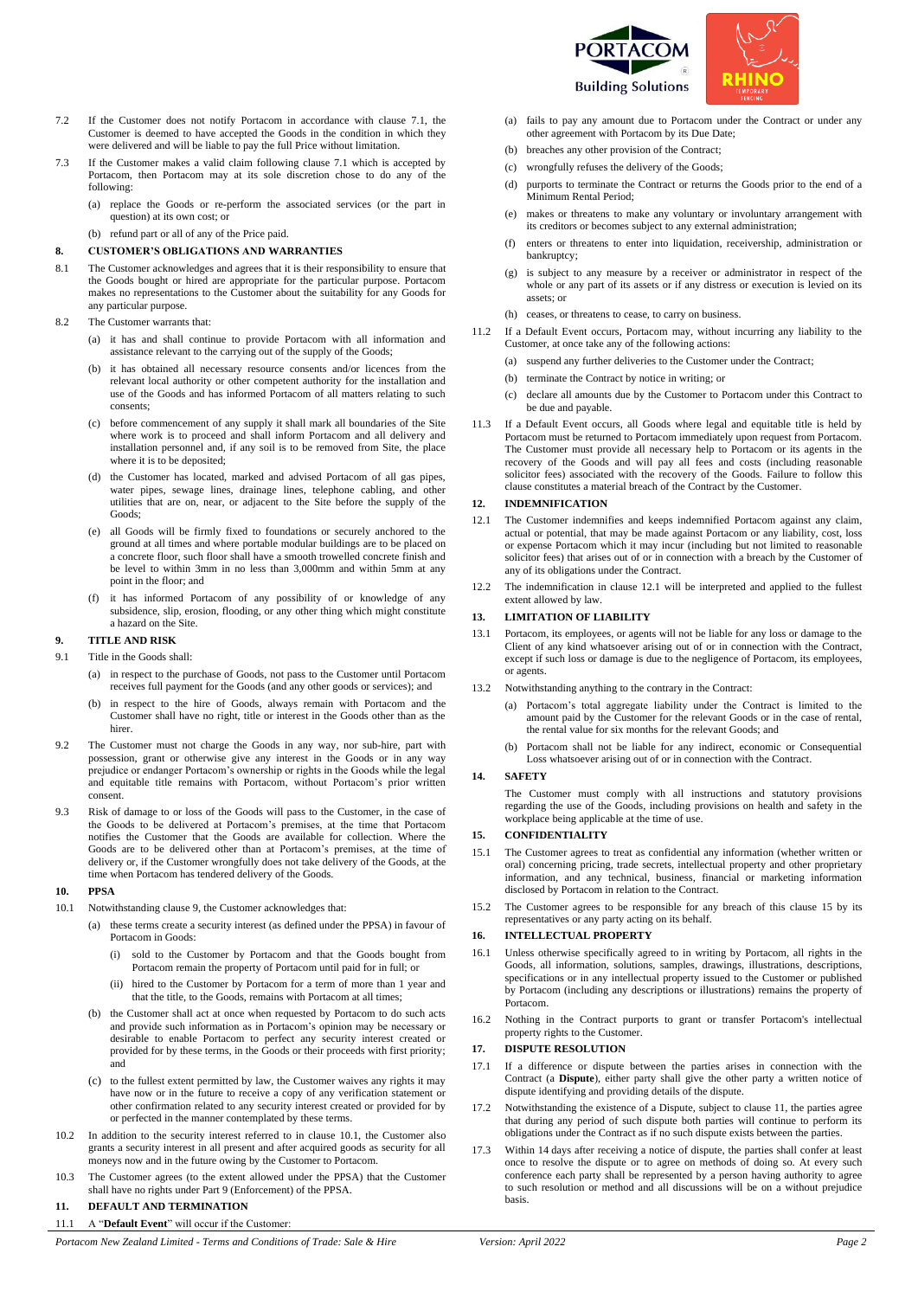



- 7.2 If the Customer does not notify Portacom in accordance with clause [7.1,](#page-0-4) the Customer is deemed to have accepted the Goods in the condition in which they were delivered and will be liable to pay the full Price without limitation.
- 7.3 If the Customer makes a valid claim following claus[e 7.1](#page-0-4) which is accepted by Portacom, then Portacom may at its sole discretion chose to do any of the following:
	- (a) replace the Goods or re-perform the associated services (or the part in question) at its own cost; or
	- (b) refund part or all of any of the Price paid.

#### <span id="page-1-7"></span>**8. CUSTOMER'S OBLIGATIONS AND WARRANTIES**

- 8.1 The Customer acknowledges and agrees that it is their responsibility to ensure that the Goods bought or hired are appropriate for the particular purpose. Portacom makes no representations to the Customer about the suitability for any Goods for any particular purpose.
- 8.2 The Customer warrants that:
	- (a) it has and shall continue to provide Portacom with all information and assistance relevant to the carrying out of the supply of the Goods;
	- (b) it has obtained all necessary resource consents and/or licences from the relevant local authority or other competent authority for the installation and use of the Goods and has informed Portacom of all matters relating to such consents;
	- (c) before commencement of any supply it shall mark all boundaries of the Site where work is to proceed and shall inform Portacom and all delivery and installation personnel and, if any soil is to be removed from Site, the place where it is to be deposited;
	- (d) the Customer has located, marked and advised Portacom of all gas pipes, water pipes, sewage lines, drainage lines, telephone cabling, and other utilities that are on, near, or adjacent to the Site before the supply of the Goods;
	- (e) all Goods will be firmly fixed to foundations or securely anchored to the ground at all times and where portable modular buildings are to be placed on a concrete floor, such floor shall have a smooth trowelled concrete finish and be level to within 3mm in no less than 3,000mm and within 5mm at any point in the floor; and
	- it has informed Portacom of any possibility of or knowledge of any subsidence, slip, erosion, flooding, or any other thing which might constitute a hazard on the Site.

#### <span id="page-1-2"></span>**9. TITLE AND RISK**

- 9.1 Title in the Goods shall:
	- (a) in respect to the purchase of Goods, not pass to the Customer until Portacom receives full payment for the Goods (and any other goods or services); and
	- in respect to the hire of Goods, always remain with Portacom and the Customer shall have no right, title or interest in the Goods other than as the hirer.
- 9.2 The Customer must not charge the Goods in any way, nor sub-hire, part with possession, grant or otherwise give any interest in the Goods or in any way prejudice or endanger Portacom's ownership or rights in the Goods while the legal and equitable title remains with Portacom, without Portacom's prior written consent.
- 9.3 Risk of damage to or loss of the Goods will pass to the Customer, in the case of the Goods to be delivered at Portacom's premises, at the time that Portacom notifies the Customer that the Goods are available for collection. Where the Goods are to be delivered other than at Portacom's premises, at the time of delivery or, if the Customer wrongfully does not take delivery of the Goods, at the time when Portacom has tendered delivery of the Goods.

#### <span id="page-1-8"></span>**10. PPSA**

- <span id="page-1-3"></span>10.1 Notwithstanding claus[e 9,](#page-1-2) the Customer acknowledges that:
	- (a) these terms create a security interest (as defined under the PPSA) in favour of Portacom in Goods:
		- (i) sold to the Customer by Portacom and that the Goods bought from Portacom remain the property of Portacom until paid for in full; or
		- (ii) hired to the Customer by Portacom for a term of more than 1 year and that the title, to the Goods, remains with Portacom at all times;
	- (b) the Customer shall act at once when requested by Portacom to do such acts and provide such information as in Portacom's opinion may be necessary or desirable to enable Portacom to perfect any security interest created or provided for by these terms, in the Goods or their proceeds with first priority; and
	- (c) to the fullest extent permitted by law, the Customer waives any rights it may have now or in the future to receive a copy of any verification statement or other confirmation related to any security interest created or provided for by or perfected in the manner contemplated by these terms.
- 10.2 In addition to the security interest referred to in clause [10.1,](#page-1-3) the Customer also grants a security interest in all present and after acquired goods as security for all moneys now and in the future owing by the Customer to Portacom.
- 10.3 The Customer agrees (to the extent allowed under the PPSA) that the Customer shall have no rights under Part 9 (Enforcement) of the PPSA.

## <span id="page-1-6"></span>**11. DEFAULT AND TERMINATION**

11.1 A "**Default Event**" will occur if the Customer:

*Portacom New Zealand Limited - Terms and Conditions of Trade: Sale & Hire Version: April 2022 Page 2*

- <span id="page-1-0"></span>(a) fails to pay any amount due to Portacom under the Contract or under any other agreement with Portacom by its Due Date;
- (b) breaches any other provision of the Contract;
- (c) wrongfully refuses the delivery of the Goods;
- purports to terminate the Contract or returns the Goods prior to the end of a Minimum Rental Period;
- (e) makes or threatens to make any voluntary or involuntary arrangement with its creditors or becomes subject to any external administration;
- (f) enters or threatens to enter into liquidation, receivership, administration or bankruptcy;
- (g) is subject to any measure by a receiver or administrator in respect of the whole or any part of its assets or if any distress or execution is levied on its assets; or
- (h) ceases, or threatens to cease, to carry on business.
- 11.2 If a Default Event occurs, Portacom may, without incurring any liability to the Customer, at once take any of the following actions:
	- (a) suspend any further deliveries to the Customer under the Contract;
	- (b) terminate the Contract by notice in writing; or
	- (c) declare all amounts due by the Customer to Portacom under this Contract to be due and payable.
- 11.3 If a Default Event occurs, all Goods where legal and equitable title is held by Portacom must be returned to Portacom immediately upon request from Portacom. The Customer must provide all necessary help to Portacom or its agents in the recovery of the Goods and will pay all fees and costs (including reasonable solicitor fees) associated with the recovery of the Goods. Failure to follow this clause constitutes a material breach of the Contract by the Customer.

# <span id="page-1-9"></span>**12. INDEMNIFICATION**

- <span id="page-1-4"></span>12.1 The Customer indemnifies and keeps indemnified Portacom against any claim, actual or potential, that may be made against Portacom or any liability, cost, loss or expense Portacom which it may incur (including but not limited to reasonable solicitor fees) that arises out of or in connection with a breach by the Customer of any of its obligations under the Contract.
- 12.2 The indemnification in clause [12.1](#page-1-4) will be interpreted and applied to the fullest extent allowed by law.

#### <span id="page-1-10"></span>**13. LIMITATION OF LIABILITY**

- 13.1 Portacom, its employees, or agents will not be liable for any loss or damage to the Client of any kind whatsoever arising out of or in connection with the Contract, except if such loss or damage is due to the negligence of Portacom, its employees, or agents.
- 13.2 Notwithstanding anything to the contrary in the Contract:
	- (a) Portacom's total aggregate liability under the Contract is limited to the amount paid by the Customer for the relevant Goods or in the case of rental, the rental value for six months for the relevant Goods; and
	- (b) Portacom shall not be liable for any indirect, economic or Consequential Loss whatsoever arising out of or in connection with the Contract.

#### **14. SAFETY**

The Customer must comply with all instructions and statutory provisions regarding the use of the Goods, including provisions on health and safety in the workplace being applicable at the time of use.

# <span id="page-1-5"></span>**15. CONFIDENTIALITY**

- 15.1 The Customer agrees to treat as confidential any information (whether written or oral) concerning pricing, trade secrets, intellectual property and other proprietary information, and any technical, business, financial or marketing information disclosed by Portacom in relation to the Contract.
- 15.2 The Customer agrees to be responsible for any breach of this clause [15](#page-1-5) by its representatives or any party acting on its behalf.

# <span id="page-1-11"></span>**16. INTELLECTUAL PROPERTY**

- 16.1 Unless otherwise specifically agreed to in writing by Portacom, all rights in the Goods, all information, solutions, samples, drawings, illustrations, descriptions, specifications or in any intellectual property issued to the Customer or published by Portacom (including any descriptions or illustrations) remains the property of Portacom.
- 16.2 Nothing in the Contract purports to grant or transfer Portacom's intellectual property rights to the Customer.

#### <span id="page-1-1"></span>**17. DISPUTE RESOLUTION**

- 17.1 If a difference or dispute between the parties arises in connection with the Contract (a **Dispute**), either party shall give the other party a written notice of dispute identifying and providing details of the dispute.
- 17.2 Notwithstanding the existence of a Dispute, subject to claus[e 11,](#page-1-6) the parties agree that during any period of such dispute both parties will continue to perform its obligations under the Contract as if no such dispute exists between the parties.
- Within 14 days after receiving a notice of dispute, the parties shall confer at least once to resolve the dispute or to agree on methods of doing so. At every such conference each party shall be represented by a person having authority to agree to such resolution or method and all discussions will be on a without prejudice basis.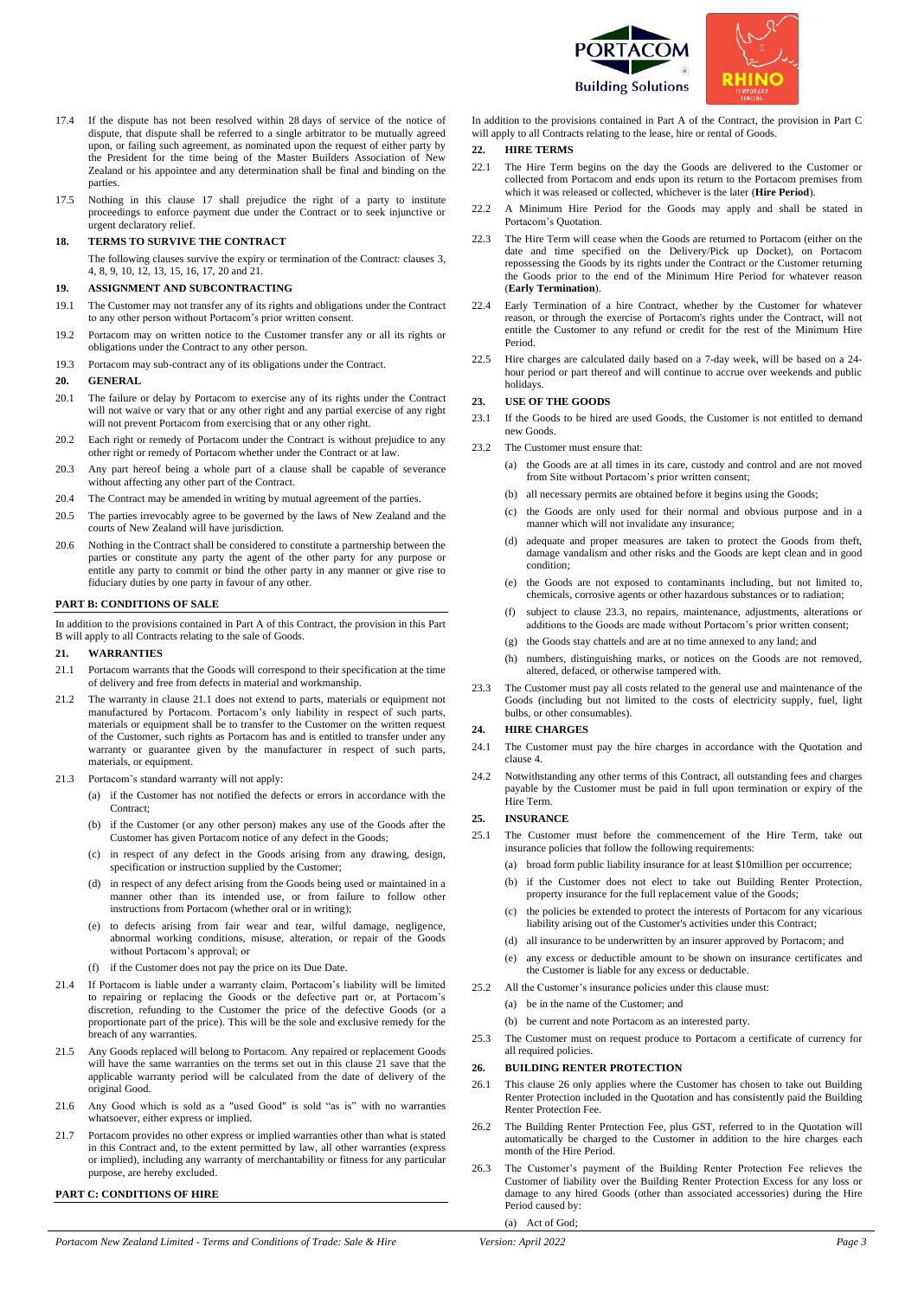

- 17.4 If the dispute has not been resolved within 28 days of service of the notice of dispute, that dispute shall be referred to a single arbitrator to be mutually agreed upon, or failing such agreement, as nominated upon the request of either party by the President for the time being of the Master Builders Association of New Zealand or his appointee and any determination shall be final and binding on the parties.
- 17.5 Nothing in this clause [17](#page-1-1) shall prejudice the right of a party to institute proceedings to enforce payment due under the Contract or to seek injunctive or urgent declaratory relief.

#### **18. TERMS TO SURVIVE THE CONTRACT**

The following clauses survive the expiry or termination of the Contract: clauses [3,](#page-0-5)  [4,](#page-0-6) [8,](#page-1-7) [9,](#page-1-2) [10,](#page-1-8) [12,](#page-1-9) [13,](#page-1-10) [15,](#page-1-5) [16,](#page-1-11) [17,](#page-1-1) [20](#page-2-1) an[d 21.](#page-2-2)

#### **19. ASSIGNMENT AND SUBCONTRACTING**

- 19.1 The Customer may not transfer any of its rights and obligations under the Contract to any other person without Portacom's prior written consent.
- 19.2 Portacom may on written notice to the Customer transfer any or all its rights or obligations under the Contract to any other person.
- 19.3 Portacom may sub-contract any of its obligations under the Contract.

#### <span id="page-2-1"></span>**20. GENERAL**

- 20.1 The failure or delay by Portacom to exercise any of its rights under the Contract will not waive or vary that or any other right and any partial exercise of any right will not prevent Portacom from exercising that or any other right.
- 20.2 Each right or remedy of Portacom under the Contract is without prejudice to any other right or remedy of Portacom whether under the Contract or at law.
- 20.3 Any part hereof being a whole part of a clause shall be capable of severance without affecting any other part of the Contract.
- 20.4 The Contract may be amended in writing by mutual agreement of the parties.
- 20.5 The parties irrevocably agree to be governed by the laws of New Zealand and the courts of New Zealand will have jurisdiction.
- 20.6 Nothing in the Contract shall be considered to constitute a partnership between the parties or constitute any party the agent of the other party for any purpose or entitle any party to commit or bind the other party in any manner or give rise to fiduciary duties by one party in favour of any other.

#### **PART B: CONDITIONS OF SALE**

In addition to the provisions contained in Part A of this Contract, the provision in this Part B will apply to all Contracts relating to the sale of Goods.

#### <span id="page-2-2"></span>**21. WARRANTIES**

- <span id="page-2-3"></span>21.1 Portacom warrants that the Goods will correspond to their specification at the time of delivery and free from defects in material and workmanship.
- 21.2 The warranty in clause [21.1](#page-2-3) does not extend to parts, materials or equipment not manufactured by Portacom. Portacom's only liability in respect of such parts, materials or equipment shall be to transfer to the Customer on the written request of the Customer, such rights as Portacom has and is entitled to transfer under any warranty or guarantee given by the manufacturer in respect of such parts, materials, or equipment.
- 21.3 Portacom's standard warranty will not apply:
	- (a) if the Customer has not notified the defects or errors in accordance with the Contract;
	- (b) if the Customer (or any other person) makes any use of the Goods after the Customer has given Portacom notice of any defect in the Goods;
	- (c) in respect of any defect in the Goods arising from any drawing, design, specification or instruction supplied by the Customer;
	- (d) in respect of any defect arising from the Goods being used or maintained in a manner other than its intended use, or from failure to follow other instructions from Portacom (whether oral or in writing);
	- (e) to defects arising from fair wear and tear, wilful damage, negligence, abnormal working conditions, misuse, alteration, or repair of the Goods without Portacom's approval; or
	- (f) if the Customer does not pay the price on its Due Date.
- 21.4 If Portacom is liable under a warranty claim, Portacom's liability will be limited to repairing or replacing the Goods or the defective part or, at Portacom's discretion, refunding to the Customer the price of the defective Goods (or a proportionate part of the price). This will be the sole and exclusive remedy for the breach of any warranties.
- 21.5 Any Goods replaced will belong to Portacom. Any repaired or replacement Goods will have the same warranties on the terms set out in this clause [21](#page-2-2) save that the applicable warranty period will be calculated from the date of delivery of the original Good.
- 21.6 Any Good which is sold as a "used Good" is sold "as is" with no warranties whatsoever, either express or implied.
- 21.7 Portacom provides no other express or implied warranties other than what is stated in this Contract and, to the extent permitted by law, all other warranties (express or implied), including any warranty of merchantability or fitness for any particular purpose, are hereby excluded.

# **PART C: CONDITIONS OF HIRE**

In addition to the provisions contained in Part A of the Contract, the provision in Part C will apply to all Contracts relating to the lease, hire or rental of Goods.

### **22. HIRE TERMS**

- <span id="page-2-0"></span>22.1 The Hire Term begins on the day the Goods are delivered to the Customer or collected from Portacom and ends upon its return to the Portacom premises from which it was released or collected, whichever is the later (**Hire Period**).
- 22.2 A Minimum Hire Period for the Goods may apply and shall be stated in Portacom's Quotation.
- 22.3 The Hire Term will cease when the Goods are returned to Portacom (either on the date and time specified on the Delivery/Pick up Docket), on Portacom repossessing the Goods by its rights under the Contract or the Customer returning the Goods prior to the end of the Minimum Hire Period for whatever reason (**Early Termination**).
- 22.4 Early Termination of a hire Contract, whether by the Customer for whatever reason, or through the exercise of Portacom's rights under the Contract, will not entitle the Customer to any refund or credit for the rest of the Minimum Hire Period.
- 22.5 Hire charges are calculated daily based on a 7-day week, will be based on a 24 hour period or part thereof and will continue to accrue over weekends and public holidays.

#### **23. USE OF THE GOODS**

- 23.1 If the Goods to be hired are used Goods, the Customer is not entitled to demand new Goods.
- 23.2 The Customer must ensure that:
	- (a) the Goods are at all times in its care, custody and control and are not moved from Site without Portacom's prior written consent;
	- (b) all necessary permits are obtained before it begins using the Goods;
	- (c) the Goods are only used for their normal and obvious purpose and in a manner which will not invalidate any insurance;
	- (d) adequate and proper measures are taken to protect the Goods from theft, damage vandalism and other risks and the Goods are kept clean and in good condition;
	- (e) the Goods are not exposed to contaminants including, but not limited to, chemicals, corrosive agents or other hazardous substances or to radiation;
	- (f) subject to clause [23.3,](#page-2-4) no repairs, maintenance, adjustments, alterations or additions to the Goods are made without Portacom's prior written consent;
	- (g) the Goods stay chattels and are at no time annexed to any land; and
	- (h) numbers, distinguishing marks, or notices on the Goods are not removed, altered, defaced, or otherwise tampered with.
- <span id="page-2-4"></span>23.3 The Customer must pay all costs related to the general use and maintenance of the Goods (including but not limited to the costs of electricity supply, fuel, light bulbs, or other consumables).

#### **24. HIRE CHARGES**

- 24.1 The Customer must pay the hire charges in accordance with the Quotation and claus[e 4.](#page-0-6)
- 24.2 Notwithstanding any other terms of this Contract, all outstanding fees and charges payable by the Customer must be paid in full upon termination or expiry of the Hire Term.

#### **25. INSURANCE**

- 25.1 The Customer must before the commencement of the Hire Term, take out insurance policies that follow the following requirements:
	- (a) broad form public liability insurance for at least \$10million per occurrence;
	- (b) if the Customer does not elect to take out Building Renter Protection, property insurance for the full replacement value of the Goods;
	- the policies be extended to protect the interests of Portacom for any vicarious liability arising out of the Customer's activities under this Contract;
	- (d) all insurance to be underwritten by an insurer approved by Portacom; and
	- (e) any excess or deductible amount to be shown on insurance certificates and the Customer is liable for any excess or deductable.
- 25.2 All the Customer's insurance policies under this clause must:
	- (a) be in the name of the Customer; and
	- (b) be current and note Portacom as an interested party.
- 25.3 The Customer must on request produce to Portacom a certificate of currency for all required policies.

#### <span id="page-2-5"></span>**26. BUILDING RENTER PROTECTION**

- 26.1 This clause 26 only applies where the Customer has chosen to take out Building Renter Protection included in the Quotation and has consistently paid the Building Renter Protection Fee.
- 26.2 The Building Renter Protection Fee, plus GST, referred to in the Quotation will automatically be charged to the Customer in addition to the hire charges each month of the Hire Period.
- 26.3 The Customer's payment of the Building Renter Protection Fee relieves the Customer of liability over the Building Renter Protection Excess for any loss or damage to any hired Goods (other than associated accessories) during the Hire Period caused by: